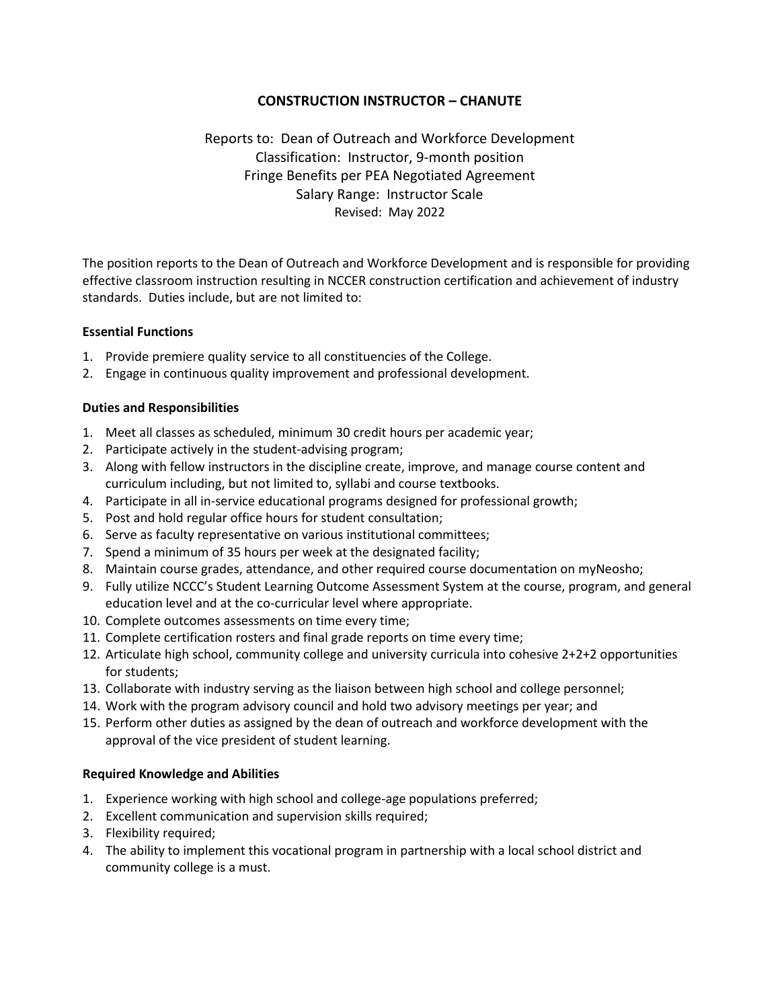# **CONSTRUCTION INSTRUCTOR – CHANUTE**

# Reports to: Dean of Outreach and Workforce Development Classification: Instructor, 9-month position Fringe Benefits per PEA Negotiated Agreement Salary Range: Instructor Scale Revised: May 2022

The position reports to the Dean of Outreach and Workforce Development and is responsible for providing effective classroom instruction resulting in NCCER construction certification and achievement of industry standards. Duties include, but are not limited to:

# **Essential Functions**

- 1. Provide premiere quality service to all constituencies of the College.
- 2. Engage in continuous quality improvement and professional development.

# **Duties and Responsibilities**

- 1. Meet all classes as scheduled, minimum 30 credit hours per academic year;
- 2. Participate actively in the student-advising program;
- 3. Along with fellow instructors in the discipline create, improve, and manage course content and curriculum including, but not limited to, syllabi and course textbooks.
- 4. Participate in all in-service educational programs designed for professional growth;
- 5. Post and hold regular office hours for student consultation;
- 6. Serve as faculty representative on various institutional committees;
- 7. Spend a minimum of 35 hours per week at the designated facility;
- 8. Maintain course grades, attendance, and other required course documentation on myNeosho;
- 9. Fully utilize NCCC's Student Learning Outcome Assessment System at the course, program, and general education level and at the co-curricular level where appropriate.
- 10. Complete outcomes assessments on time every time;
- 11. Complete certification rosters and final grade reports on time every time;
- 12. Articulate high school, community college and university curricula into cohesive 2+2+2 opportunities for students;
- 13. Collaborate with industry serving as the liaison between high school and college personnel;
- 14. Work with the program advisory council and hold two advisory meetings per year; and
- 15. Perform other duties as assigned by the dean of outreach and workforce development with the approval of the vice president of student learning.

## **Required Knowledge and Abilities**

- 1. Experience working with high school and college-age populations preferred;
- 2. Excellent communication and supervision skills required;
- 3. Flexibility required;
- 4. The ability to implement this vocational program in partnership with a local school district and community college is a must.